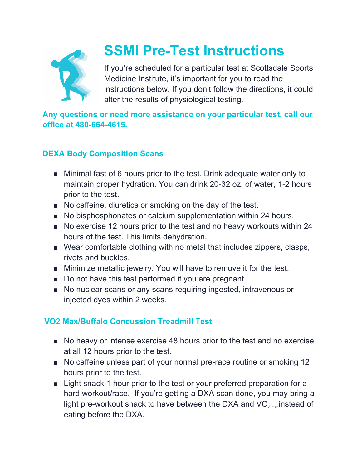

# **SSMI Pre-Test Instructions**

If you're scheduled for a particular test at Scottsdale Sports Medicine Institute, it's important for you to read the instructions below. If you don't follow the directions, it could alter the results of physiological testing.

**Any questions or need more assistance on your particular test, call our office at 480-664-4615.**

# **DEXA Body Composition Scans**

- Minimal fast of 6 hours prior to the test. Drink adequate water only to maintain proper hydration. You can drink 20-32 oz. of water, 1-2 hours prior to the test.
- No caffeine, diuretics or smoking on the day of the test.
- No bisphosphonates or calcium supplementation within 24 hours.
- No exercise 12 hours prior to the test and no heavy workouts within 24 hours of the test. This limits dehydration.
- Wear comfortable clothing with no metal that includes zippers, clasps, rivets and buckles.
- Minimize metallic jewelry. You will have to remove it for the test.
- Do not have this test performed if you are pregnant.
- No nuclear scans or any scans requiring ingested, intravenous or injected dyes within 2 weeks.

# **VO2 Max/Buffalo Concussion Treadmill Test**

- No heavy or intense exercise 48 hours prior to the test and no exercise at all 12 hours prior to the test.
- No caffeine unless part of your normal pre-race routine or smoking 12 hours prior to the test.
- Light snack 1 hour prior to the test or your preferred preparation for a hard workout/race. If you're getting a DXA scan done, you may bring a light pre-workout snack to have between the DXA and VO<sub>2 max</sub>instead of eating before the DXA.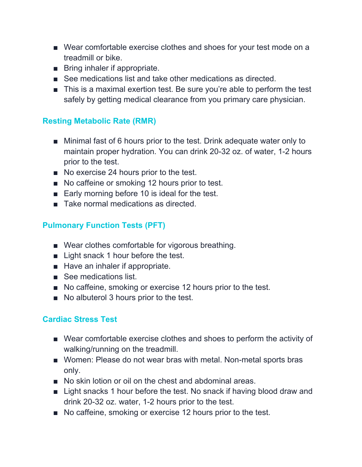- Wear comfortable exercise clothes and shoes for your test mode on a treadmill or bike.
- Bring inhaler if appropriate.
- See medications list and take other medications as directed.
- This is a maximal exertion test. Be sure you're able to perform the test safely by getting medical clearance from you primary care physician.

### **Resting Metabolic Rate (RMR)**

- Minimal fast of 6 hours prior to the test. Drink adequate water only to maintain proper hydration. You can drink 20-32 oz. of water, 1-2 hours prior to the test.
- No exercise 24 hours prior to the test.
- No caffeine or smoking 12 hours prior to test.
- Early morning before 10 is ideal for the test.
- Take normal medications as directed.

## **Pulmonary Function Tests (PFT)**

- Wear clothes comfortable for vigorous breathing.
- Light snack 1 hour before the test.
- Have an inhaler if appropriate.
- See medications list.
- No caffeine, smoking or exercise 12 hours prior to the test.
- No albuterol 3 hours prior to the test.

### **Cardiac Stress Test**

- Wear comfortable exercise clothes and shoes to perform the activity of walking/running on the treadmill.
- Women: Please do not wear bras with metal. Non-metal sports bras only.
- No skin lotion or oil on the chest and abdominal areas.
- Light snacks 1 hour before the test. No snack if having blood draw and drink 20-32 oz. water, 1-2 hours prior to the test.
- No caffeine, smoking or exercise 12 hours prior to the test.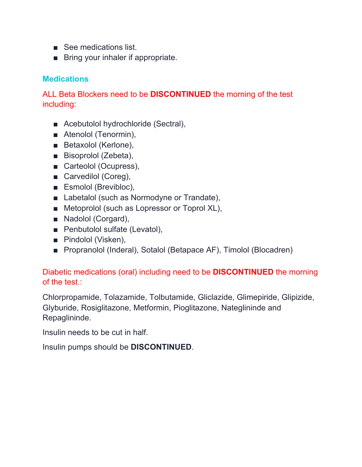- See medications list.
- Bring your inhaler if appropriate.

#### **Medications**

ALL Beta Blockers need to be **DISCONTINUED** the morning of the test including:

- Acebutolol hydrochloride (Sectral),
- Atenolol (Tenormin),
- Betaxolol (Kerlone),
- Bisoprolol (Zebeta),
- Carteolol (Ocupress),
- Carvedilol (Coreg),
- Esmolol (Brevibloc),
- Labetalol (such as Normodyne or Trandate),
- Metoprolol (such as Lopressor or Toprol XL),
- Nadolol (Corgard),
- Penbutolol sulfate (Levatol),
- Pindolol (Visken),
- Propranolol (Inderal), Sotalol (Betapace AF), Timolol (Blocadren)

#### Diabetic medications (oral) including need to be **DISCONTINUED** the morning of the test.:

Chlorpropamide, Tolazamide, Tolbutamide, Gliclazide, Glimepiride, Glipizide, Glyburide, Rosiglitazone, Metformin, Pioglitazone, Nateglininde and Repaglininde.

Insulin needs to be cut in half.

Insulin pumps should be **DISCONTINUED**.